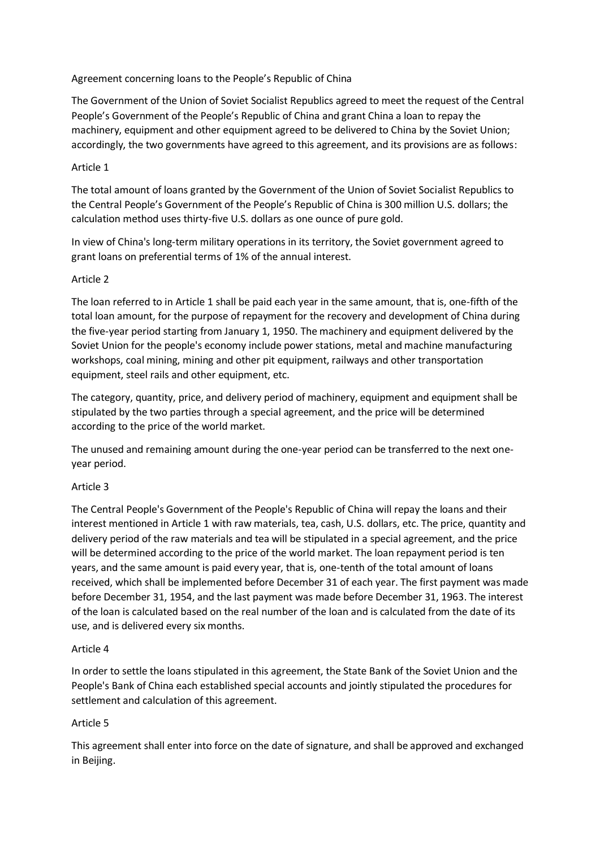### Agreement concerning loans to the People's Republic of China

The Government of the Union of Soviet Socialist Republics agreed to meet the request of the Central People's Government of the People's Republic of China and grant China a loan to repay the machinery, equipment and other equipment agreed to be delivered to China by the Soviet Union; accordingly, the two governments have agreed to this agreement, and its provisions are as follows:

### Article 1

The total amount of loans granted by the Government of the Union of Soviet Socialist Republics to the Central People's Government of the People's Republic of China is 300 million U.S. dollars; the calculation method uses thirty-five U.S. dollars as one ounce of pure gold.

In view of China's long-term military operations in its territory, the Soviet government agreed to grant loans on preferential terms of 1% of the annual interest.

## Article 2

The loan referred to in Article 1 shall be paid each year in the same amount, that is, one-fifth of the total loan amount, for the purpose of repayment for the recovery and development of China during the five-year period starting from January 1, 1950. The machinery and equipment delivered by the Soviet Union for the people's economy include power stations, metal and machine manufacturing workshops, coal mining, mining and other pit equipment, railways and other transportation equipment, steel rails and other equipment, etc.

The category, quantity, price, and delivery period of machinery, equipment and equipment shall be stipulated by the two parties through a special agreement, and the price will be determined according to the price of the world market.

The unused and remaining amount during the one-year period can be transferred to the next oneyear period.

#### Article 3

The Central People's Government of the People's Republic of China will repay the loans and their interest mentioned in Article 1 with raw materials, tea, cash, U.S. dollars, etc. The price, quantity and delivery period of the raw materials and tea will be stipulated in a special agreement, and the price will be determined according to the price of the world market. The loan repayment period is ten years, and the same amount is paid every year, that is, one-tenth of the total amount of loans received, which shall be implemented before December 31 of each year. The first payment was made before December 31, 1954, and the last payment was made before December 31, 1963. The interest of the loan is calculated based on the real number of the loan and is calculated from the date of its use, and is delivered every six months.

#### Article 4

In order to settle the loans stipulated in this agreement, the State Bank of the Soviet Union and the People's Bank of China each established special accounts and jointly stipulated the procedures for settlement and calculation of this agreement.

# Article 5

This agreement shall enter into force on the date of signature, and shall be approved and exchanged in Beijing.